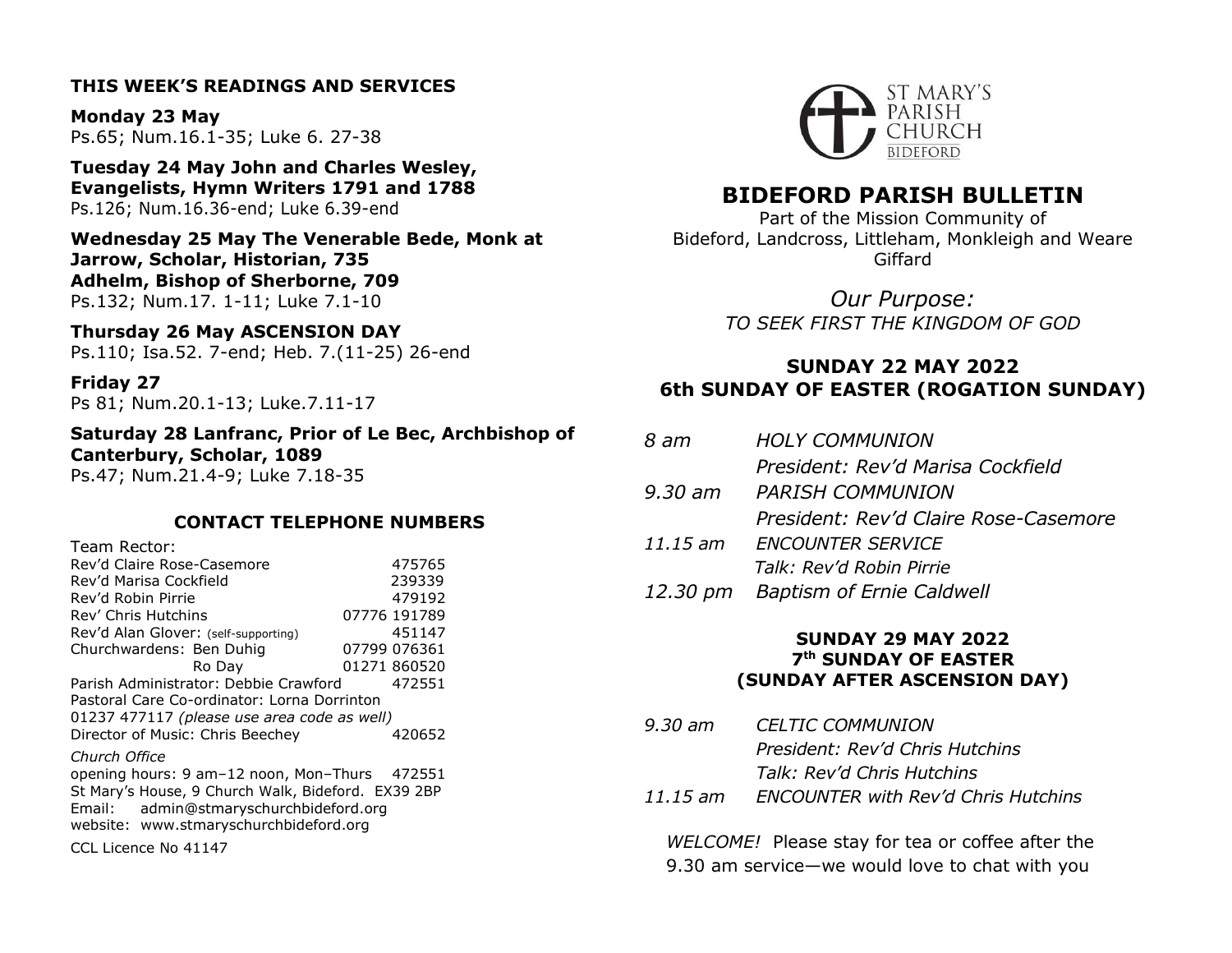# **THIS WEEK'S READINGS AND SERVICES**

**Monday 23 May** Ps.65; Num.16.1-35; Luke 6. 27-38

**Tuesday 24 May John and Charles Wesley, Evangelists, Hymn Writers 1791 and 1788** Ps.126; Num.16.36-end; Luke 6.39-end

**Wednesday 25 May The Venerable Bede, Monk at Jarrow, Scholar, Historian, 735 Adhelm, Bishop of Sherborne, 709** Ps.132; Num.17. 1-11; Luke 7.1-10

**Thursday 26 May ASCENSION DAY** Ps.110; Isa.52. 7-end; Heb. 7.(11-25) 26-end

**Friday 27** Ps 81; Num.20.1-13; Luke.7.11-17

**Saturday 28 Lanfranc, Prior of Le Bec, Archbishop of Canterbury, Scholar, 1089** Ps.47; Num.21.4-9; Luke 7.18-35

# **CONTACT TELEPHONE NUMBERS**

| Team Rector:                                       |  |              |  |
|----------------------------------------------------|--|--------------|--|
| Rev'd Claire Rose-Casemore                         |  | 475765       |  |
| Rev'd Marisa Cockfield                             |  | 239339       |  |
| Rev'd Robin Pirrie                                 |  | 479192       |  |
| Rev' Chris Hutchins                                |  | 07776 191789 |  |
| Rev'd Alan Glover: (self-supporting)               |  | 451147       |  |
| Churchwardens: Ben Duhig                           |  | 07799 076361 |  |
| Ro Day                                             |  | 01271 860520 |  |
| Parish Administrator: Debbie Crawford              |  | 472551       |  |
| Pastoral Care Co-ordinator: Lorna Dorrinton        |  |              |  |
| 01237 477117 (please use area code as well)        |  |              |  |
| Director of Music: Chris Beechey                   |  | 420652       |  |
| Church Office                                      |  |              |  |
| opening hours: 9 am-12 noon, Mon-Thurs 472551      |  |              |  |
| St Mary's House, 9 Church Walk, Bideford. EX39 2BP |  |              |  |
| Email: admin@stmaryschurchbideford.org             |  |              |  |
| website: www.stmaryschurchbideford.org             |  |              |  |
| CCL Licence No 41147                               |  |              |  |



# **BIDEFORD PARISH BULLETIN**

Part of the Mission Community of Bideford, Landcross, Littleham, Monkleigh and Weare Giffard

> *Our Purpose: TO SEEK FIRST THE KINGDOM OF GOD*

# **SUNDAY 22 MAY 2022 6th SUNDAY OF EASTER (ROGATION SUNDAY)**

| 8 am | <b>HOLY COMMUNION</b>                 |
|------|---------------------------------------|
|      | President: Rev'd Marisa Cockfield     |
|      | 9.30 am PARISH COMMUNION              |
|      | President: Rev'd Claire Rose-Casemore |
|      | 11.15 am ENCOUNTER SERVICE            |
|      | Talk: Rev'd Robin Pirrie              |
|      | 12.30 pm Baptism of Ernie Caldwell    |

# **SUNDAY 29 MAY 2022 7 th SUNDAY OF EASTER (SUNDAY AFTER ASCENSION DAY)**

*9.30 am CELTIC COMMUNION President: Rev'd Chris Hutchins Talk: Rev'd Chris Hutchins 11.15 am ENCOUNTER with Rev'd Chris Hutchins*

*WELCOME!* Please stay for tea or coffee after the 9.30 am service—we would love to chat with you